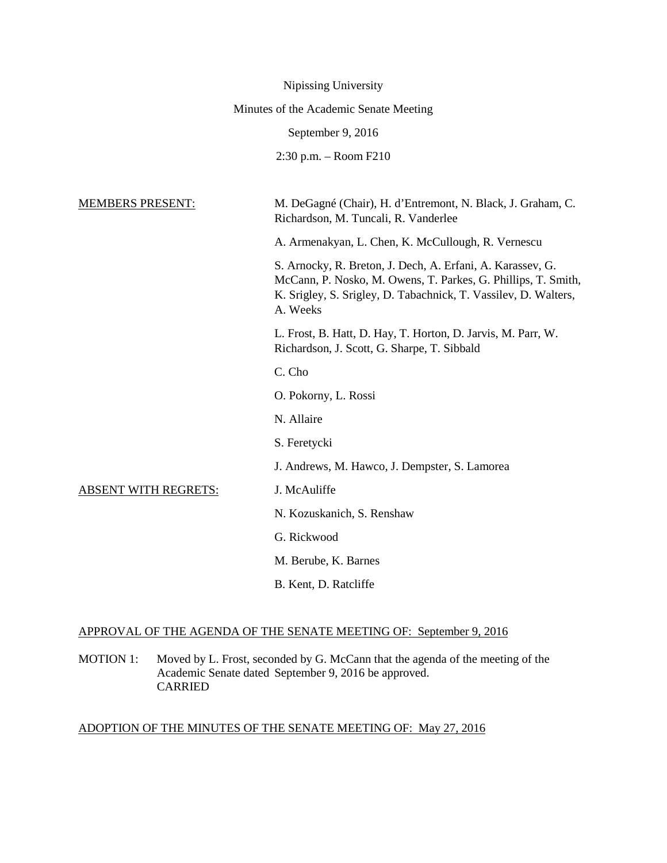|                                        | Nipissing University                                                                                                                                                                                       |
|----------------------------------------|------------------------------------------------------------------------------------------------------------------------------------------------------------------------------------------------------------|
| Minutes of the Academic Senate Meeting |                                                                                                                                                                                                            |
|                                        | September 9, 2016                                                                                                                                                                                          |
|                                        | $2:30$ p.m. $-$ Room F210                                                                                                                                                                                  |
|                                        |                                                                                                                                                                                                            |
| <b>MEMBERS PRESENT:</b>                | M. DeGagné (Chair), H. d'Entremont, N. Black, J. Graham, C.<br>Richardson, M. Tuncali, R. Vanderlee                                                                                                        |
|                                        | A. Armenakyan, L. Chen, K. McCullough, R. Vernescu                                                                                                                                                         |
|                                        | S. Arnocky, R. Breton, J. Dech, A. Erfani, A. Karassev, G.<br>McCann, P. Nosko, M. Owens, T. Parkes, G. Phillips, T. Smith,<br>K. Srigley, S. Srigley, D. Tabachnick, T. Vassilev, D. Walters,<br>A. Weeks |
|                                        | L. Frost, B. Hatt, D. Hay, T. Horton, D. Jarvis, M. Parr, W.<br>Richardson, J. Scott, G. Sharpe, T. Sibbald                                                                                                |
|                                        | C. Cho                                                                                                                                                                                                     |
|                                        | O. Pokorny, L. Rossi                                                                                                                                                                                       |
|                                        | N. Allaire                                                                                                                                                                                                 |
|                                        | S. Feretycki                                                                                                                                                                                               |
|                                        | J. Andrews, M. Hawco, J. Dempster, S. Lamorea                                                                                                                                                              |
| <u>ABSENT WITH REGRETS:</u>            | J. McAuliffe                                                                                                                                                                                               |
|                                        | N. Kozuskanich, S. Renshaw                                                                                                                                                                                 |
|                                        | G. Rickwood                                                                                                                                                                                                |
|                                        | M. Berube, K. Barnes                                                                                                                                                                                       |
|                                        | B. Kent, D. Ratcliffe                                                                                                                                                                                      |
|                                        |                                                                                                                                                                                                            |

# APPROVAL OF THE AGENDA OF THE SENATE MEETING OF: September 9, 2016

MOTION 1: Moved by L. Frost, seconded by G. McCann that the agenda of the meeting of the Academic Senate dated September 9, 2016 be approved. CARRIED

# ADOPTION OF THE MINUTES OF THE SENATE MEETING OF: May 27, 2016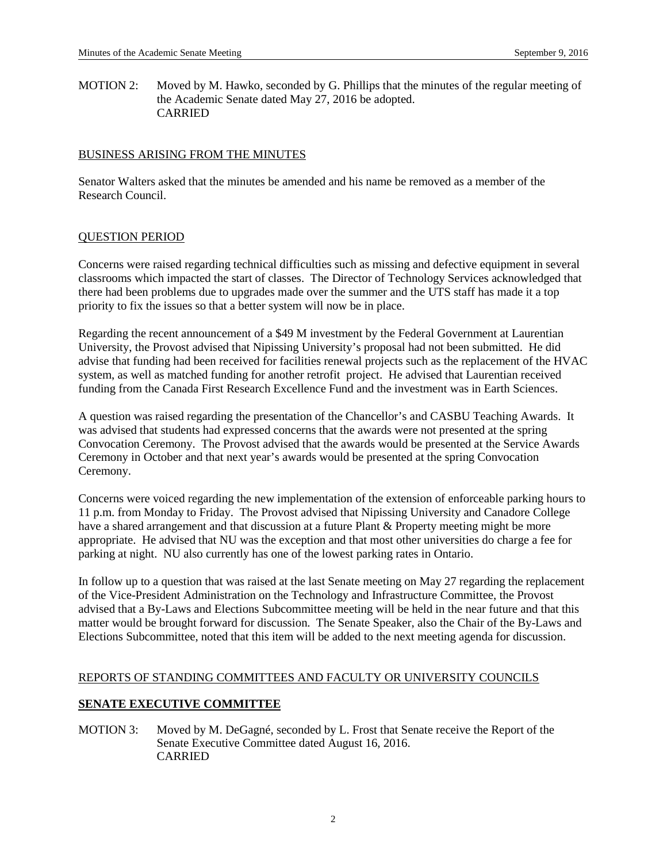MOTION 2: Moved by M. Hawko, seconded by G. Phillips that the minutes of the regular meeting of the Academic Senate dated May 27, 2016 be adopted. CARRIED

### BUSINESS ARISING FROM THE MINUTES

Senator Walters asked that the minutes be amended and his name be removed as a member of the Research Council.

## QUESTION PERIOD

Concerns were raised regarding technical difficulties such as missing and defective equipment in several classrooms which impacted the start of classes. The Director of Technology Services acknowledged that there had been problems due to upgrades made over the summer and the UTS staff has made it a top priority to fix the issues so that a better system will now be in place.

Regarding the recent announcement of a \$49 M investment by the Federal Government at Laurentian University, the Provost advised that Nipissing University's proposal had not been submitted. He did advise that funding had been received for facilities renewal projects such as the replacement of the HVAC system, as well as matched funding for another retrofit project. He advised that Laurentian received funding from the Canada First Research Excellence Fund and the investment was in Earth Sciences.

A question was raised regarding the presentation of the Chancellor's and CASBU Teaching Awards. It was advised that students had expressed concerns that the awards were not presented at the spring Convocation Ceremony. The Provost advised that the awards would be presented at the Service Awards Ceremony in October and that next year's awards would be presented at the spring Convocation Ceremony.

Concerns were voiced regarding the new implementation of the extension of enforceable parking hours to 11 p.m. from Monday to Friday. The Provost advised that Nipissing University and Canadore College have a shared arrangement and that discussion at a future Plant & Property meeting might be more appropriate. He advised that NU was the exception and that most other universities do charge a fee for parking at night. NU also currently has one of the lowest parking rates in Ontario.

In follow up to a question that was raised at the last Senate meeting on May 27 regarding the replacement of the Vice-President Administration on the Technology and Infrastructure Committee, the Provost advised that a By-Laws and Elections Subcommittee meeting will be held in the near future and that this matter would be brought forward for discussion. The Senate Speaker, also the Chair of the By-Laws and Elections Subcommittee, noted that this item will be added to the next meeting agenda for discussion.

## REPORTS OF STANDING COMMITTEES AND FACULTY OR UNIVERSITY COUNCILS

## **SENATE EXECUTIVE COMMITTEE**

MOTION 3: Moved by M. DeGagné, seconded by L. Frost that Senate receive the Report of the Senate Executive Committee dated August 16, 2016. CARRIED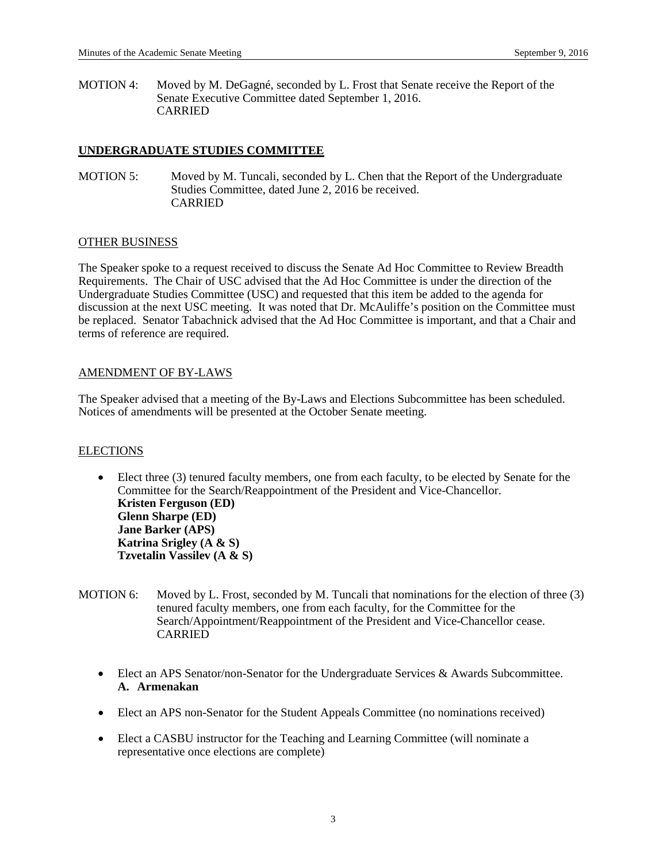MOTION 4: Moved by M. DeGagné, seconded by L. Frost that Senate receive the Report of the Senate Executive Committee dated September 1, 2016. CARRIED

## **UNDERGRADUATE STUDIES COMMITTEE**

MOTION 5: Moved by M. Tuncali, seconded by L. Chen that the Report of the Undergraduate Studies Committee, dated June 2, 2016 be received. CARRIED

#### OTHER BUSINESS

The Speaker spoke to a request received to discuss the Senate Ad Hoc Committee to Review Breadth Requirements. The Chair of USC advised that the Ad Hoc Committee is under the direction of the Undergraduate Studies Committee (USC) and requested that this item be added to the agenda for discussion at the next USC meeting. It was noted that Dr. McAuliffe's position on the Committee must be replaced. Senator Tabachnick advised that the Ad Hoc Committee is important, and that a Chair and terms of reference are required.

## AMENDMENT OF BY-LAWS

The Speaker advised that a meeting of the By-Laws and Elections Subcommittee has been scheduled. Notices of amendments will be presented at the October Senate meeting.

#### **ELECTIONS**

- Elect three (3) tenured faculty members, one from each faculty, to be elected by Senate for the Committee for the Search/Reappointment of the President and Vice-Chancellor. **Kristen Ferguson (ED) Glenn Sharpe (ED) Jane Barker (APS) Katrina Srigley (A & S) Tzvetalin Vassilev (A & S)**
- MOTION 6: Moved by L. Frost, seconded by M. Tuncali that nominations for the election of three (3) tenured faculty members, one from each faculty, for the Committee for the Search/Appointment/Reappointment of the President and Vice-Chancellor cease. CARRIED
	- Elect an APS Senator/non-Senator for the Undergraduate Services & Awards Subcommittee. **A. Armenakan**
	- Elect an APS non-Senator for the Student Appeals Committee (no nominations received)
	- Elect a CASBU instructor for the Teaching and Learning Committee (will nominate a representative once elections are complete)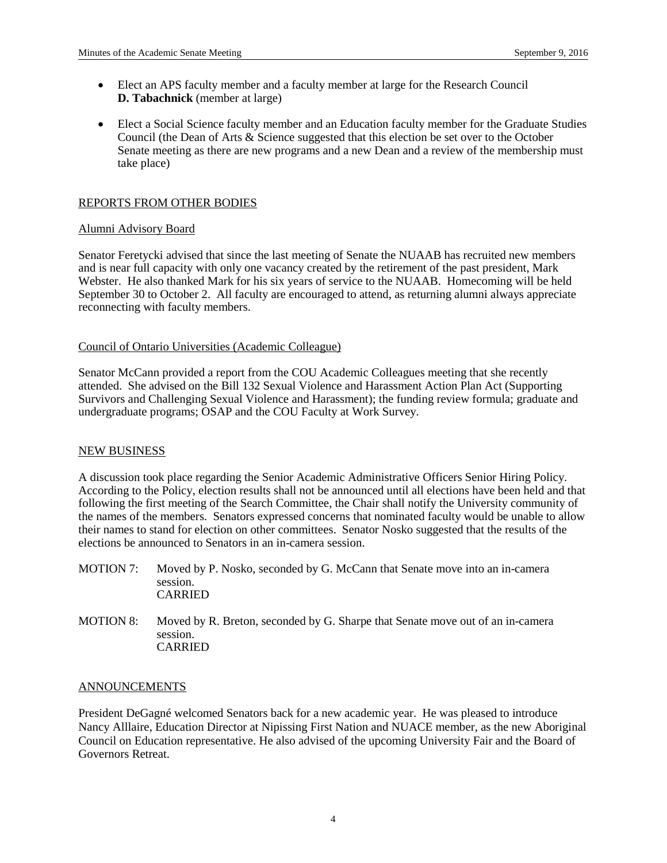- Elect an APS faculty member and a faculty member at large for the Research Council **D. Tabachnick** (member at large)
- Elect a Social Science faculty member and an Education faculty member for the Graduate Studies Council (the Dean of Arts & Science suggested that this election be set over to the October Senate meeting as there are new programs and a new Dean and a review of the membership must take place)

## REPORTS FROM OTHER BODIES

#### Alumni Advisory Board

Senator Feretycki advised that since the last meeting of Senate the NUAAB has recruited new members and is near full capacity with only one vacancy created by the retirement of the past president, Mark Webster. He also thanked Mark for his six years of service to the NUAAB. Homecoming will be held September 30 to October 2. All faculty are encouraged to attend, as returning alumni always appreciate reconnecting with faculty members.

## Council of Ontario Universities (Academic Colleague)

Senator McCann provided a report from the COU Academic Colleagues meeting that she recently attended. She advised on the Bill 132 Sexual Violence and Harassment Action Plan Act (Supporting Survivors and Challenging Sexual Violence and Harassment); the funding review formula; graduate and undergraduate programs; OSAP and the COU Faculty at Work Survey.

#### NEW BUSINESS

A discussion took place regarding the Senior Academic Administrative Officers Senior Hiring Policy. According to the Policy, election results shall not be announced until all elections have been held and that following the first meeting of the Search Committee, the Chair shall notify the University community of the names of the members. Senators expressed concerns that nominated faculty would be unable to allow their names to stand for election on other committees. Senator Nosko suggested that the results of the elections be announced to Senators in an in-camera session.

- MOTION 7: Moved by P. Nosko, seconded by G. McCann that Senate move into an in-camera session. CARRIED
- MOTION 8: Moved by R. Breton, seconded by G. Sharpe that Senate move out of an in-camera session. CARRIED

#### ANNOUNCEMENTS

President DeGagné welcomed Senators back for a new academic year. He was pleased to introduce Nancy Alllaire, Education Director at Nipissing First Nation and NUACE member, as the new Aboriginal Council on Education representative. He also advised of the upcoming University Fair and the Board of Governors Retreat.